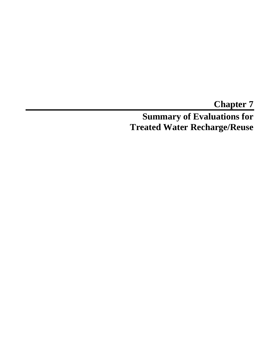**Chapter 7 Summary of Evaluations for Treated Water Recharge/Reuse**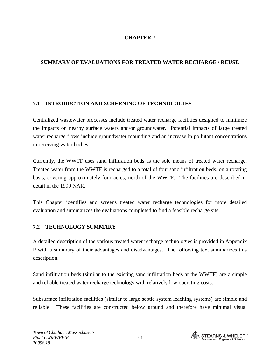## **CHAPTER 7**

## **SUMMARY OF EVALUATIONS FOR TREATED WATER RECHARGE / REUSE**

#### **7.1 INTRODUCTION AND SCREENING OF TECHNOLOGIES**

Centralized wastewater processes include treated water recharge facilities designed to minimize the impacts on nearby surface waters and/or groundwater. Potential impacts of large treated water recharge flows include groundwater mounding and an increase in pollutant concentrations in receiving water bodies.

Currently, the WWTF uses sand infiltration beds as the sole means of treated water recharge. Treated water from the WWTF is recharged to a total of four sand infiltration beds, on a rotating basis, covering approximately four acres, north of the WWTF. The facilities are described in detail in the 1999 NAR.

This Chapter identifies and screens treated water recharge technologies for more detailed evaluation and summarizes the evaluations completed to find a feasible recharge site.

#### **7.2 TECHNOLOGY SUMMARY**

A detailed description of the various treated water recharge technologies is provided in Appendix P with a summary of their advantages and disadvantages. The following text summarizes this description.

Sand infiltration beds (similar to the existing sand infiltration beds at the WWTF) are a simple and reliable treated water recharge technology with relatively low operating costs.

Subsurface infiltration facilities (similar to large septic system leaching systems) are simple and reliable. These facilities are constructed below ground and therefore have minimal visual

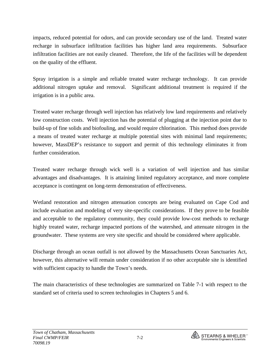impacts, reduced potential for odors, and can provide secondary use of the land. Treated water recharge in subsurface infiltration facilities has higher land area requirements. Subsurface infiltration facilities are not easily cleaned. Therefore, the life of the facilities will be dependent on the quality of the effluent.

Spray irrigation is a simple and reliable treated water recharge technology. It can provide additional nitrogen uptake and removal. Significant additional treatment is required if the irrigation is in a public area.

Treated water recharge through well injection has relatively low land requirements and relatively low construction costs. Well injection has the potential of plugging at the injection point due to build-up of fine solids and biofouling, and would require chlorination. This method does provide a means of treated water recharge at multiple potential sites with minimal land requirements; however, MassDEP's resistance to support and permit of this technology eliminates it from further consideration.

Treated water recharge through wick well is a variation of well injection and has similar advantages and disadvantages. It is attaining limited regulatory acceptance, and more complete acceptance is contingent on long-term demonstration of effectiveness.

Wetland restoration and nitrogen attenuation concepts are being evaluated on Cape Cod and include evaluation and modeling of very site-specific considerations. If they prove to be feasible and acceptable to the regulatory community, they could provide low-cost methods to recharge highly treated water, recharge impacted portions of the watershed, and attenuate nitrogen in the groundwater. These systems are very site specific and should be considered where applicable.

Discharge through an ocean outfall is not allowed by the Massachusetts Ocean Sanctuaries Act, however, this alternative will remain under consideration if no other acceptable site is identified with sufficient capacity to handle the Town's needs.

The main characteristics of these technologies are summarized on Table 7-1 with respect to the standard set of criteria used to screen technologies in Chapters 5 and 6.

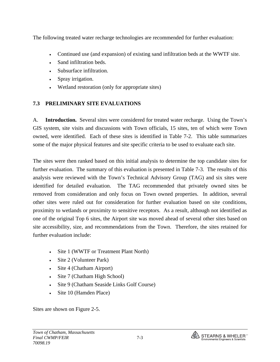The following treated water recharge technologies are recommended for further evaluation:

- Continued use (and expansion) of existing sand infiltration beds at the WWTF site.
- Sand infiltration beds.
- Subsurface infiltration.
- Spray irrigation.
- Wetland restoration (only for appropriate sites)

#### **7.3 PRELIMINARY SITE EVALUATIONS**

A. **Introduction.** Several sites were considered for treated water recharge. Using the Town's GIS system, site visits and discussions with Town officials, 15 sites, ten of which were Town owned, were identified. Each of these sites is identified in Table 7-2. This table summarizes some of the major physical features and site specific criteria to be used to evaluate each site.

The sites were then ranked based on this initial analysis to determine the top candidate sites for further evaluation. The summary of this evaluation is presented in Table 7-3. The results of this analysis were reviewed with the Town's Technical Advisory Group (TAG) and six sites were identified for detailed evaluation. The TAG recommended that privately owned sites be removed from consideration and only focus on Town owned properties. In addition, several other sites were ruled out for consideration for further evaluation based on site conditions, proximity to wetlands or proximity to sensitive receptors. As a result, although not identified as one of the original Top 6 sites, the Airport site was moved ahead of several other sites based on site accessibility, size, and recommendations from the Town. Therefore, the sites retained for further evaluation include:

- Site 1 (WWTF or Treatment Plant North)
- Site 2 (Volunteer Park)
- Site 4 (Chatham Airport)
- Site 7 (Chatham High School)
- Site 9 (Chatham Seaside Links Golf Course)
- Site 10 (Hamden Place)

Sites are shown on Figure 2-5.

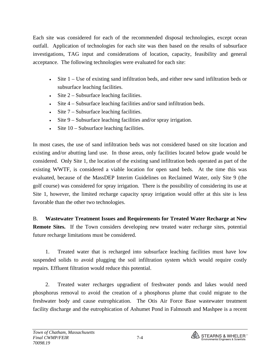Each site was considered for each of the recommended disposal technologies, except ocean outfall. Application of technologies for each site was then based on the results of subsurface investigations, TAG input and considerations of location, capacity, feasibility and general acceptance. The following technologies were evaluated for each site:

- Site 1 Use of existing sand infiltration beds, and either new sand infiltration beds or subsurface leaching facilities.
- Site  $2 -$  Subsurface leaching facilities.
- Site 4 Subsurface leaching facilities and/or sand infiltration beds.
- Site  $7 -$  Subsurface leaching facilities.
- Site 9 Subsurface leaching facilities and/or spray irrigation.
- Site 10 Subsurface leaching facilities.

In most cases, the use of sand infiltration beds was not considered based on site location and existing and/or abutting land use. In those areas, only facilities located below grade would be considered. Only Site 1, the location of the existing sand infiltration beds operated as part of the existing WWTF, is considered a viable location for open sand beds. At the time this was evaluated, because of the MassDEP Interim Guidelines on Reclaimed Water, only Site 9 (the golf course) was considered for spray irrigation. There is the possibility of considering its use at Site 1, however, the limited recharge capacity spray irrigation would offer at this site is less favorable than the other two technologies.

B. **Wastewater Treatment Issues and Requirements for Treated Water Recharge at New Remote Sites.** If the Town considers developing new treated water recharge sites, potential future recharge limitations must be considered.

 1. Treated water that is recharged into subsurface leaching facilities must have low suspended solids to avoid plugging the soil infiltration system which would require costly repairs. Effluent filtration would reduce this potential.

 2. Treated water recharges upgradient of freshwater ponds and lakes would need phosphorus removal to avoid the creation of a phosphorus plume that could migrate to the freshwater body and cause eutrophication. The Otis Air Force Base wastewater treatment facility discharge and the eutrophication of Ashumet Pond in Falmouth and Mashpee is a recent

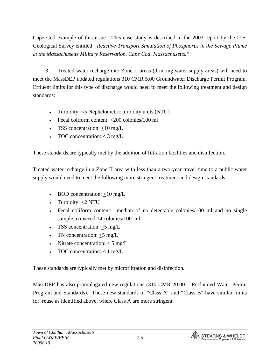Cape Cod example of this issue. This case study is described in the 2003 report by the U.S. Geological Survey entitled *"Reactive-Transport Simulation of Phosphorus in the Sewage Plume at the Massachusetts Military Reservation, Cape Cod, Massachusetts."* 

 3. Treated water recharge into Zone II areas (drinking water supply areas) will need to meet the MassDEP updated regulations 310 CMR 5.00 Groundwater Discharge Permit Program. Effluent limits for this type of discharge would need to meet the following treatment and design standards:

- Turbidity: <5 Nephelometric turbidity units (NTU)
- Fecal coliform content: <200 colonies/100 ml
- TSS concentration:  $<$ 10 mg/L
- TOC concentration:  $<$  3 mg/L

These standards are typically met by the addition of filtration facilities and disinfection.

Treated water recharge in a Zone II area with less than a two-year travel time to a public water supply would need to meet the following more stringent treatment and design standards:

- BOD concentration:  $\langle 10 \text{ mg/L} \rangle$
- Turbidity:  $<$ 2 NTU
- Fecal coliform content: median of no detectable colonies/100 ml and no single sample to exceed 14 colonies/100 ml
- TSS concentration:  $\leq$ 5 mg/L
- TN concentration:  $<$  5 mg/L
- Nitrate concentration:  $<$  5 mg/L
- TOC concentration:  $< 1$  mg/L

These standards are typically met by microfiltration and disinfection.

MassDEP has also promulagated new regulations (310 CMR 20.00 – Reclaimed Water Permit Program and Standards).These new standards of "Class A" and "Class B" have similar limits for reuse as identified above, where Class A are more stringent.

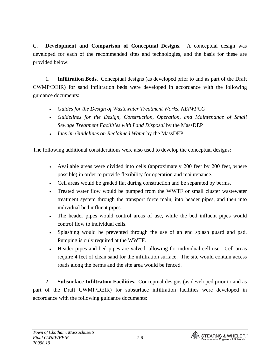C. **Development and Comparison of Conceptual Designs.**A conceptual design was developed for each of the recommended sites and technologies, and the basis for these are provided below:

 1. **Infiltration Beds.** Conceptual designs (as developed prior to and as part of the Draft CWMP/DEIR) for sand infiltration beds were developed in accordance with the following guidance documents:

- *Guides for the Design of Wastewater Treatment Works, NEIWPCC*
- *Guidelines for the Design, Construction, Operation, and Maintenance of Small Sewage Treatment Facilities with Land Disposal* by the MassDEP
- *Interim Guidelines on Reclaimed Water* by the MassDEP

The following additional considerations were also used to develop the conceptual designs:

- Available areas were divided into cells (approximately 200 feet by 200 feet, where possible) in order to provide flexibility for operation and maintenance.
- Cell areas would be graded flat during construction and be separated by berms.
- Treated water flow would be pumped from the WWTF or small cluster wastewater treatment system through the transport force main, into header pipes, and then into individual bed influent pipes.
- The header pipes would control areas of use, while the bed influent pipes would control flow to individual cells.
- Splashing would be prevented through the use of an end splash guard and pad. Pumping is only required at the WWTF.
- Header pipes and bed pipes are valved, allowing for individual cell use. Cell areas require 4 feet of clean sand for the infiltration surface. The site would contain access roads along the berms and the site area would be fenced.

 2. **Subsurface Infiltration Facilities.** Conceptual designs (as developed prior to and as part of the Draft CWMP/DEIR) for subsurface infiltration facilities were developed in accordance with the following guidance documents:

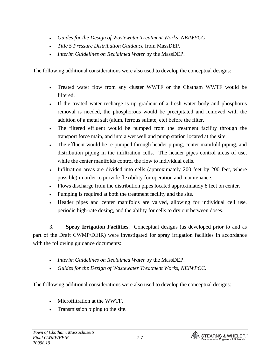- *Guides for the Design of Wastewater Treatment Works, NEIWPCC*
- *Title 5 Pressure Distribution Guidance* from MassDEP.
- *Interim Guidelines on Reclaimed Water* by the MassDEP.

The following additional considerations were also used to develop the conceptual designs:

- Treated water flow from any cluster WWTF or the Chatham WWTF would be filtered.
- If the treated water recharge is up gradient of a fresh water body and phosphorus removal is needed, the phosphorous would be precipitated and removed with the addition of a metal salt (alum, ferrous sulfate, etc) before the filter.
- The filtered effluent would be pumped from the treatment facility through the transport force main, and into a wet well and pump station located at the site.
- The effluent would be re-pumped through header piping, center manifold piping, and distribution piping in the infiltration cells. The header pipes control areas of use, while the center manifolds control the flow to individual cells.
- Infiltration areas are divided into cells (approximately 200 feet by 200 feet, where possible) in order to provide flexibility for operation and maintenance.
- Flows discharge from the distribution pipes located approximately 8 feet on center.
- Pumping is required at both the treatment facility and the site.
- Header pipes and center manifolds are valved, allowing for individual cell use, periodic high-rate dosing, and the ability for cells to dry out between doses.

 3. **Spray Irrigation Facilities.** Conceptual designs (as developed prior to and as part of the Draft CWMP/DEIR) were investigated for spray irrigation facilities in accordance with the following guidance documents:

- *Interim Guidelines on Reclaimed Water* by the MassDEP.
- *Guides for the Design of Wastewater Treatment Works, NEIWPCC.*

The following additional considerations were also used to develop the conceptual designs:

- Microfiltration at the WWTF.
- Transmission piping to the site.

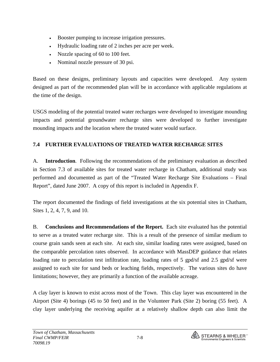- Booster pumping to increase irrigation pressures.
- Hydraulic loading rate of 2 inches per acre per week.
- Nozzle spacing of 60 to 100 feet.
- Nominal nozzle pressure of 30 psi.

Based on these designs, preliminary layouts and capacities were developed. Any system designed as part of the recommended plan will be in accordance with applicable regulations at the time of the design.

USGS modeling of the potential treated water recharges were developed to investigate mounding impacts and potential groundwater recharge sites were developed to further investigate mounding impacts and the location where the treated water would surface.

# **7.4 FURTHER EVALUATIONS OF TREATED WATER RECHARGE SITES**

A. **Introduction**. Following the recommendations of the preliminary evaluation as described in Section 7.3 of available sites for treated water recharge in Chatham, additional study was performed and documented as part of the "Treated Water Recharge Site Evaluations – Final Report", dated June 2007. A copy of this report is included in Appendix F.

The report documented the findings of field investigations at the six potential sites in Chatham, Sites 1, 2, 4, 7, 9, and 10.

B. **Conclusions and Recommendations of the Report.** Each site evaluated has the potential to serve as a treated water recharge site. This is a result of the presence of similar medium to course grain sands seen at each site. At each site, similar loading rates were assigned, based on the comparable percolation rates observed. In accordance with MassDEP guidance that relates loading rate to percolation test infiltration rate, loading rates of 5 gpd/sf and 2.5 gpd/sf were assigned to each site for sand beds or leaching fields, respectively. The various sites do have limitations; however, they are primarily a function of the available acreage.

A clay layer is known to exist across most of the Town. This clay layer was encountered in the Airport (Site 4) borings (45 to 50 feet) and in the Volunteer Park (Site 2) boring (55 feet). A clay layer underlying the receiving aquifer at a relatively shallow depth can also limit the

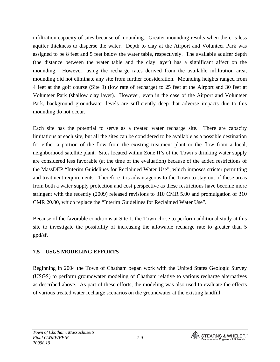infiltration capacity of sites because of mounding. Greater mounding results when there is less aquifer thickness to disperse the water. Depth to clay at the Airport and Volunteer Park was assigned to be 8 feet and 5 feet below the water table, respectively. The available aquifer depth (the distance between the water table and the clay layer) has a significant affect on the mounding. However, using the recharge rates derived from the available infiltration area, mounding did not eliminate any site from further consideration. Mounding heights ranged from 4 feet at the golf course (Site 9) (low rate of recharge) to 25 feet at the Airport and 30 feet at Volunteer Park (shallow clay layer). However, even in the case of the Airport and Volunteer Park, background groundwater levels are sufficiently deep that adverse impacts due to this mounding do not occur.

Each site has the potential to serve as a treated water recharge site. There are capacity limitations at each site, but all the sites can be considered to be available as a possible destination for either a portion of the flow from the existing treatment plant or the flow from a local, neighborhood satellite plant. Sites located within Zone II's of the Town's drinking water supply are considered less favorable (at the time of the evaluation) because of the added restrictions of the MassDEP "Interim Guidelines for Reclaimed Water Use", which imposes stricter permitting and treatment requirements. Therefore it is advantageous to the Town to stay out of these areas from both a water supply protection and cost perspective as these restrictions have become more stringent with the recently (2009) released revisions to 310 CMR 5.00 and promulgation of 310 CMR 20.00, which replace the "Interim Guidelines for Reclaimed Water Use".

Because of the favorable conditions at Site 1, the Town chose to perform additional study at this site to investigate the possibility of increasing the allowable recharge rate to greater than 5 gpd/sf.

#### **7.5 USGS MODELING EFFORTS**

Beginning in 2004 the Town of Chatham began work with the United States Geologic Survey (USGS) to perform groundwater modeling of Chatham relative to various recharge alternatives as described above. As part of these efforts, the modeling was also used to evaluate the effects of various treated water recharge scenarios on the groundwater at the existing landfill.

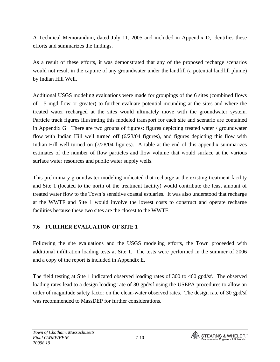A Technical Memorandum, dated July 11, 2005 and included in Appendix D, identifies these efforts and summarizes the findings.

As a result of these efforts, it was demonstrated that any of the proposed recharge scenarios would not result in the capture of any groundwater under the landfill (a potential landfill plume) by Indian Hill Well.

Additional USGS modeling evaluations were made for groupings of the 6 sites (combined flows of 1.5 mgd flow or greater) to further evaluate potential mounding at the sites and where the treated water recharged at the sites would ultimately move with the groundwater system. Particle track figures illustrating this modeled transport for each site and scenario are contained in Appendix G. There are two groups of figures: figures depicting treated water / groundwater flow with Indian Hill well turned off (6/23/04 figures), and figures depicting this flow with Indian Hill well turned on (7/28/04 figures). A table at the end of this appendix summarizes estimates of the number of flow particles and flow volume that would surface at the various surface water resources and public water supply wells.

This preliminary groundwater modeling indicated that recharge at the existing treatment facility and Site 1 (located to the north of the treatment facility) would contribute the least amount of treated water flow to the Town's sensitive coastal estuaries. It was also understood that recharge at the WWTF and Site 1 would involve the lowest costs to construct and operate recharge facilities because these two sites are the closest to the WWTF.

#### **7.6 FURTHER EVALUATION OF SITE 1**

Following the site evaluations and the USGS modeling efforts, the Town proceeded with additional infiltration loading tests at Site 1. The tests were performed in the summer of 2006 and a copy of the report is included in Appendix E.

The field testing at Site 1 indicated observed loading rates of 300 to 460 gpd/sf. The observed loading rates lead to a design loading rate of 30 gpd/sf using the USEPA procedures to allow an order of magnitude safety factor on the clean-water observed rates. The design rate of 30 gpd/sf was recommended to MassDEP for further considerations.

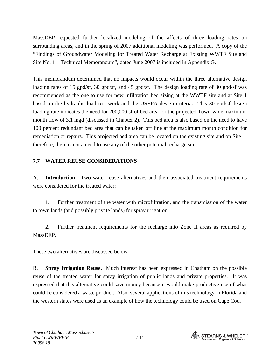MassDEP requested further localized modeling of the affects of three loading rates on surrounding areas, and in the spring of 2007 additional modeling was performed. A copy of the "Findings of Groundwater Modeling for Treated Water Recharge at Existing WWTF Site and Site No. 1 – Technical Memorandum", dated June 2007 is included in Appendix G.

This memorandum determined that no impacts would occur within the three alternative design loading rates of 15 gpd/sf, 30 gpd/sf, and 45 gpd/sf. The design loading rate of 30 gpd/sf was recommended as the one to use for new infiltration bed sizing at the WWTF site and at Site 1 based on the hydraulic load test work and the USEPA design criteria. This 30 gpd/sf design loading rate indicates the need for 200,000 sf of bed area for the projected Town-wide maximum month flow of 3.1 mgd (discussed in Chapter 2). This bed area is also based on the need to have 100 percent redundant bed area that can be taken off line at the maximum month condition for remediation or repairs. This projected bed area can be located on the existing site and on Site 1; therefore, there is not a need to use any of the other potential recharge sites.

#### **7.7 WATER REUSE CONSIDERATIONS**

A. **Introduction**. Two water reuse alternatives and their associated treatment requirements were considered for the treated water:

1. Further treatment of the water with microfiltration, and the transmission of the water to town lands (and possibly private lands) for spray irrigation.

2. Further treatment requirements for the recharge into Zone II areas as required by MassDEP.

These two alternatives are discussed below.

B. **Spray Irrigation Reuse.** Much interest has been expressed in Chatham on the possible reuse of the treated water for spray irrigation of public lands and private properties. It was expressed that this alternative could save money because it would make productive use of what could be considered a waste product. Also, several applications of this technology in Florida and the western states were used as an example of how the technology could be used on Cape Cod.

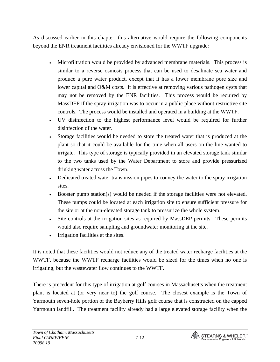As discussed earlier in this chapter, this alternative would require the following components beyond the ENR treatment facilities already envisioned for the WWTF upgrade:

- Microfiltration would be provided by advanced membrane materials. This process is similar to a reverse osmosis process that can be used to desalinate sea water and produce a pure water product, except that it has a lower membrane pore size and lower capital and O&M costs. It is effective at removing various pathogen cysts that may not be removed by the ENR facilities. This process would be required by MassDEP if the spray irrigation was to occur in a public place without restrictive site controls. The process would be installed and operated in a building at the WWTF.
- UV disinfection to the highest performance level would be required for further disinfection of the water.
- Storage facilities would be needed to store the treated water that is produced at the plant so that it could be available for the time when all users on the line wanted to irrigate. This type of storage is typically provided in an elevated storage tank similar to the two tanks used by the Water Department to store and provide pressurized drinking water across the Town.
- Dedicated treated water transmission pipes to convey the water to the spray irrigation sites.
- Booster pump station(s) would be needed if the storage facilities were not elevated. These pumps could be located at each irrigation site to ensure sufficient pressure for the site or at the non-elevated storage tank to pressurize the whole system.
- Site controls at the irrigation sites as required by MassDEP permits. These permits would also require sampling and groundwater monitoring at the site.
- Irrigation facilities at the sites.

It is noted that these facilities would not reduce any of the treated water recharge facilities at the WWTF, because the WWTF recharge facilities would be sized for the times when no one is irrigating, but the wastewater flow continues to the WWTF.

There is precedent for this type of irrigation at golf courses in Massachusetts when the treatment plant is located at (or very near to) the golf course. The closest example is the Town of Yarmouth seven-hole portion of the Bayberry Hills golf course that is constructed on the capped Yarmouth landfill. The treatment facility already had a large elevated storage facility when the

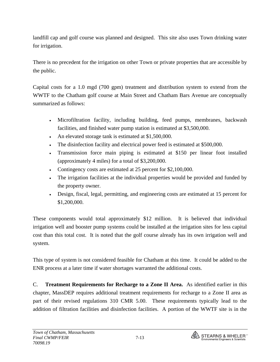landfill cap and golf course was planned and designed. This site also uses Town drinking water for irrigation.

There is no precedent for the irrigation on other Town or private properties that are accessible by the public.

Capital costs for a 1.0 mgd (700 gpm) treatment and distribution system to extend from the WWTF to the Chatham golf course at Main Street and Chatham Bars Avenue are conceptually summarized as follows:

- Microfiltration facility, including building, feed pumps, membranes, backwash facilities, and finished water pump station is estimated at \$3,500,000.
- An elevated storage tank is estimated at \$1,500,000.
- The disinfection facility and electrical power feed is estimated at \$500,000.
- Transmission force main piping is estimated at \$150 per linear foot installed (approximately 4 miles) for a total of \$3,200,000.
- Contingency costs are estimated at 25 percent for \$2,100,000.
- The irrigation facilities at the individual properties would be provided and funded by the property owner.
- Design, fiscal, legal, permitting, and engineering costs are estimated at 15 percent for \$1,200,000.

These components would total approximately \$12 million. It is believed that individual irrigation well and booster pump systems could be installed at the irrigation sites for less capital cost than this total cost. It is noted that the golf course already has its own irrigation well and system.

This type of system is not considered feasible for Chatham at this time. It could be added to the ENR process at a later time if water shortages warranted the additional costs.

C. **Treatment Requirements for Recharge to a Zone II Area.** As identified earlier in this chapter, MassDEP requires additional treatment requirements for recharge to a Zone II area as part of their revised regulations 310 CMR 5.00.These requirements typically lead to the addition of filtration facilities and disinfection facilities. A portion of the WWTF site is in the